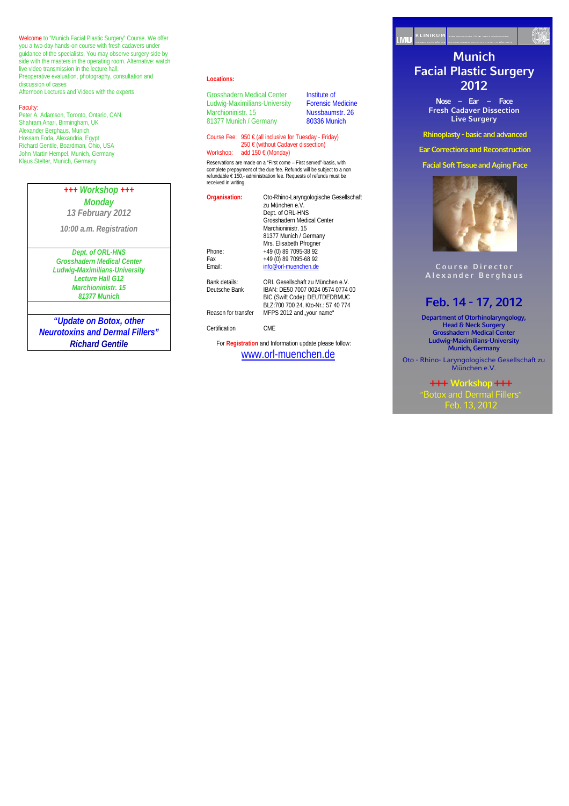Welcome to "Munich Facial Plastic Surgery" Course. We offer you a two-day hands-on course with fresh cadavers under guidance of the specialists. You may observe surgery side by side with the masters in the operating room. Alternative: watch live video transmission in the lecture hall. Preoperative evaluation, photography, consultation and discussion of cases Afternoon Lectures and Videos with the experts

#### Faculty:

Peter A. Adamson, Toronto, Ontario, CAN Shahram Anari, Birmingham, UK Alexander Berghaus, Munich Hossam Foda, Alexandria, Egypt Richard Gentile, Boardman, Ohio, USA John Martin Hempel, Munich, Germany Klaus Stelter, Munich, Germany

> *+++ Workshop +++ Monday 13 February 2012 10:00 a.m. Registration Dept. of ORL-HNS Grosshadern Medical Center Ludwig-Maximilians-University Lecture Hall G12 Marchioninistr. 15 81377 Munich "Update on Botox, other Neurotoxins and Dermal Fillers"*

*Richard Gentile* 

### **Locations:**

Grosshadern Medical Center Ludwig-Maximilians-University Marchioninistr. 15 81377 Munich / Germany

Institute of Forensic Medicine Nussbaumstr. 26 80336 Munich

#### Course Fee: 950 € (all inclusive for Tuesday - Friday) 250 € (without Cadaver dissection) Workshop: add  $150 \in (Monday)$

Reservations are made on a "First come – First served"-basis, with complete prepayment of the due fee. Refunds will be subject to a non refundable € 150,- administration fee. Requests of refunds must be received in writing.

| Organisation:                                          | Oto-Rhino-Laryngologische Gesellschaft<br>zu München e.V.                                              |  |  |  |  |  |
|--------------------------------------------------------|--------------------------------------------------------------------------------------------------------|--|--|--|--|--|
|                                                        | Dept. of ORL-HNS                                                                                       |  |  |  |  |  |
|                                                        | Grosshadern Medical Center                                                                             |  |  |  |  |  |
|                                                        | Marchioninistr. 15                                                                                     |  |  |  |  |  |
|                                                        | 81377 Munich / Germany                                                                                 |  |  |  |  |  |
|                                                        | Mrs. Elisabeth Pfrogner                                                                                |  |  |  |  |  |
| Phone:                                                 | +49 (0) 89 7095-38 92                                                                                  |  |  |  |  |  |
| Fax                                                    | +49 (0) 89 7095-68 92                                                                                  |  |  |  |  |  |
| Fmail:                                                 | info@orl-muenchen.de                                                                                   |  |  |  |  |  |
| Bank details:<br>Deutsche Bank                         | ORL Gesellschaft zu München e.V.<br>IBAN: DF50 7007 0024 0574 0774 00<br>BIC (Swift Code): DEUTDEDBMUC |  |  |  |  |  |
| Reason for transfer                                    | BLZ:700 700 24. Kto-Nr.: 57 40 774<br>MFPS 2012 and , your name"                                       |  |  |  |  |  |
| Certification                                          | <b>CMF</b>                                                                                             |  |  |  |  |  |
| For Registration and Information update please follow: |                                                                                                        |  |  |  |  |  |

www.orl-muenchen.de

# **Munich Facial Plastic Surgery 2012**

**Nose – Ear – Face Fresh Cadaver Dissection Live Surgery**

**Rhinoplasty - basic and advanced** 

**Ear Corrections and Reconstruction** 

**Facial Soft Tissue and Aging Face** 



**Course Director Alexander Berghaus** 

## **Feb. 14 - 17, 2012**

**Department of Otorhinolaryngology, Head & Neck Surgery Grosshadern Medical Center Ludwig-Maximilians-University Munich, Germany** 

Oto - Rhino- Laryngologische Gesellschaft zu München e.V.

> **+++ Workshop+++** "Botox and Dermal Fillers" Feb. 13, 2012